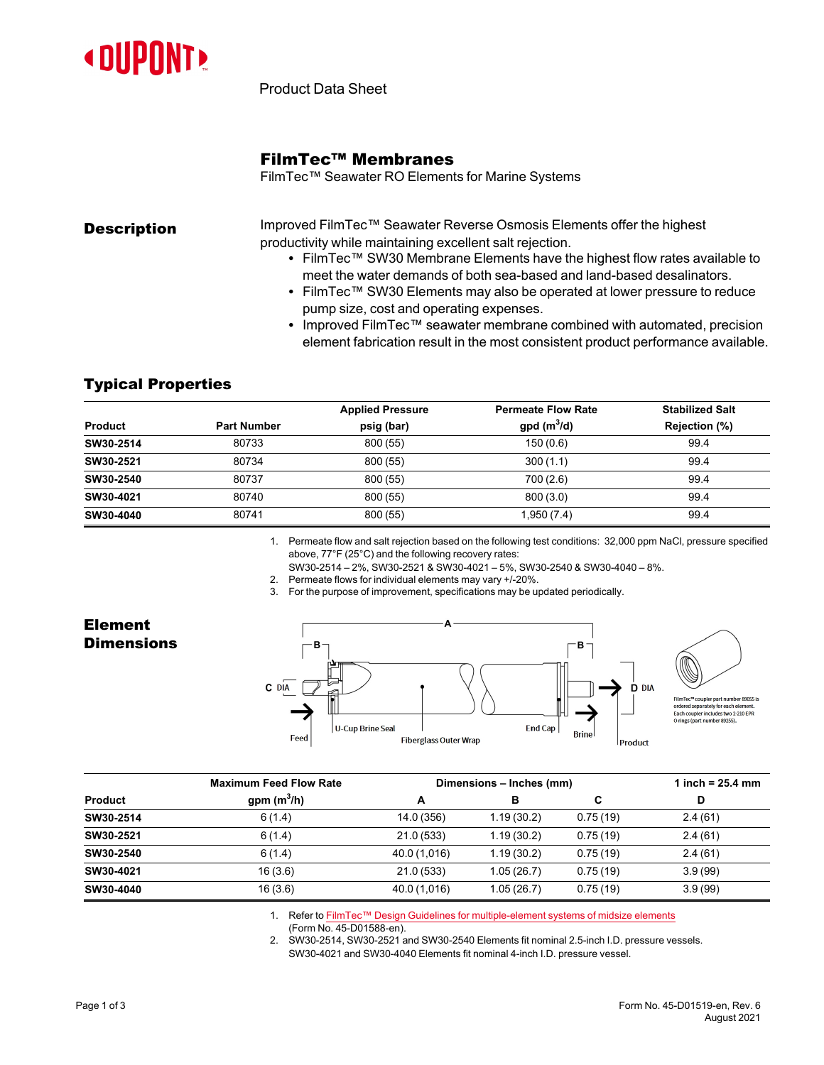

Product Data Sheet

## FilmTec™ Membranes

FilmTec™ Seawater RO Elements for Marine Systems

| <b>Description</b> | Improved FilmTec™ Seawater Reverse Osmosis Elements offer the highest |
|--------------------|-----------------------------------------------------------------------|
|                    | productivity while maintaining excellent salt rejection.              |

- FilmTec™ SW30 Membrane Elements have the highest flow rates available to meet the water demands of both sea-based and land-based desalinators.
- FilmTec™ SW30 Elements may also be operated at lower pressure to reduce pump size, cost and operating expenses.
- Improved FilmTec™ seawater membrane combined with automated, precision element fabrication result in the most consistent product performance available.

## Typical Properties

|                    | <b>Applied Pressure</b> | <b>Permeate Flow Rate</b> | <b>Stabilized Salt</b> |
|--------------------|-------------------------|---------------------------|------------------------|
| <b>Part Number</b> | psig (bar)              | $gpd(m^3/d)$              | Rejection (%)          |
| 80733              | 800 (55)                | 150(0.6)                  | 99.4                   |
| 80734              | 800 (55)                | 300(1.1)                  | 99.4                   |
| 80737              | 800 (55)                | 700 (2.6)                 | 99.4                   |
| 80740              | 800 (55)                | 800(3.0)                  | 99.4                   |
| 80741              | 800 (55)                | 1,950 (7.4)               | 99.4                   |
|                    |                         |                           |                        |

1. Permeate flow and salt rejection based on the following test conditions: 32,000 ppm NaCl, pressure specified above, 77°F (25°C) and the following recovery rates:

SW30-2514 – 2%, SW30-2521 & SW30-4021 – 5%, SW30-2540 & SW30-4040 – 8%.

2. Permeate flows for individual elements may vary +/-20%.

3. For the purpose of improvement, specifications may be updated periodically.

## Element **Dimensions**



|           | <b>Maximum Feed Flow Rate</b> | Dimensions – Inches (mm) |            |          | 1 inch = $25.4 \, \text{mm}$ |  |
|-----------|-------------------------------|--------------------------|------------|----------|------------------------------|--|
| Product   | gpm $(m^3/h)$                 | A                        | в          | C        | D                            |  |
| SW30-2514 | 6(1.4)                        | 14.0 (356)               | 1.19(30.2) | 0.75(19) | 2.4(61)                      |  |
| SW30-2521 | 6(1.4)                        | 21.0(533)                | 1.19(30.2) | 0.75(19) | 2.4(61)                      |  |
| SW30-2540 | 6(1.4)                        | 40.0 (1,016)             | 1.19(30.2) | 0.75(19) | 2.4(61)                      |  |
| SW30-4021 | 16(3.6)                       | 21.0(533)                | 1.05(26.7) | 0.75(19) | 3.9(99)                      |  |
| SW30-4040 | 16(3.6)                       | 40.0 (1,016)             | 1.05(26.7) | 0.75(19) | 3.9(99)                      |  |

1. Refer to FilmTec™ Design Guidelines for [multiple-element](https://www.dupont.com/content/dam/dupont/amer/us/en/water-solutions/public/documents/en/RO-NF-FilmTec-Membrane-Sys-Design-Guidelines-Midsize-Manual-Exc-45-D01588-en.pdf) systems of midsize elements

(Form No. 45-D01588-en).

2. SW30-2514, SW30-2521 and SW30-2540 Elements fit nominal 2.5-inch I.D. pressure vessels. SW30-4021 and SW30-4040 Elements fit nominal 4-inch I.D. pressure vessel.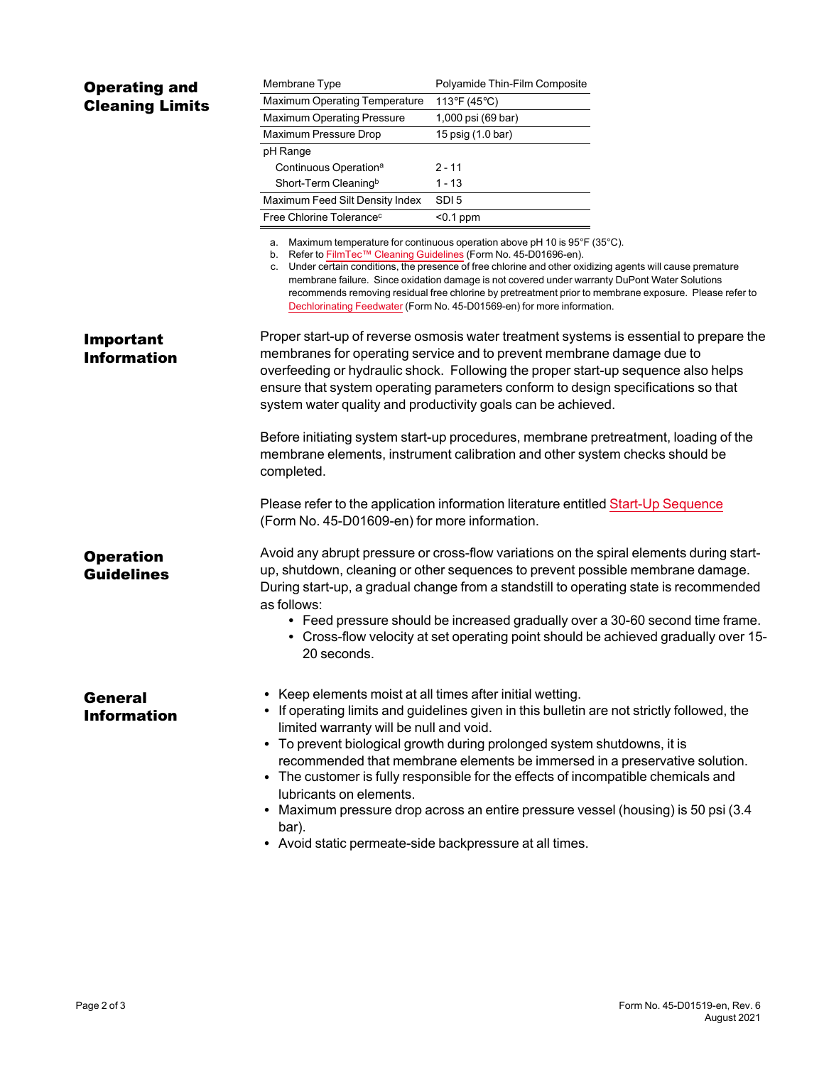| <b>Operating and</b>                   | Membrane Type                                                                                                                                                                                     | Polyamide Thin-Film Composite                                                                                                                                                                                                                                                                                                                                                                                                                                                  |
|----------------------------------------|---------------------------------------------------------------------------------------------------------------------------------------------------------------------------------------------------|--------------------------------------------------------------------------------------------------------------------------------------------------------------------------------------------------------------------------------------------------------------------------------------------------------------------------------------------------------------------------------------------------------------------------------------------------------------------------------|
| <b>Cleaning Limits</b>                 | Maximum Operating Temperature                                                                                                                                                                     | 113°F (45°C)                                                                                                                                                                                                                                                                                                                                                                                                                                                                   |
|                                        | Maximum Operating Pressure                                                                                                                                                                        | 1,000 psi (69 bar)                                                                                                                                                                                                                                                                                                                                                                                                                                                             |
|                                        | Maximum Pressure Drop                                                                                                                                                                             | 15 psig (1.0 bar)                                                                                                                                                                                                                                                                                                                                                                                                                                                              |
|                                        | pH Range                                                                                                                                                                                          |                                                                                                                                                                                                                                                                                                                                                                                                                                                                                |
|                                        | Continuous Operation <sup>a</sup>                                                                                                                                                                 | $2 - 11$                                                                                                                                                                                                                                                                                                                                                                                                                                                                       |
|                                        | Short-Term Cleaning <sup>b</sup>                                                                                                                                                                  | $1 - 13$                                                                                                                                                                                                                                                                                                                                                                                                                                                                       |
|                                        | Maximum Feed Silt Density Index                                                                                                                                                                   | SDI <sub>5</sub>                                                                                                                                                                                                                                                                                                                                                                                                                                                               |
|                                        | Free Chlorine Tolerance <sup>c</sup>                                                                                                                                                              | $< 0.1$ ppm                                                                                                                                                                                                                                                                                                                                                                                                                                                                    |
|                                        | b. Refer to FilmTec™ Cleaning Guidelines (Form No. 45-D01696-en).                                                                                                                                 | a. Maximum temperature for continuous operation above pH 10 is 95°F (35°C).<br>c. Under certain conditions, the presence of free chlorine and other oxidizing agents will cause premature<br>membrane failure. Since oxidation damage is not covered under warranty DuPont Water Solutions<br>recommends removing residual free chlorine by pretreatment prior to membrane exposure. Please refer to<br>Dechlorinating Feedwater (Form No. 45-D01569-en) for more information. |
| <b>Important</b><br><b>Information</b> |                                                                                                                                                                                                   | Proper start-up of reverse osmosis water treatment systems is essential to prepare the<br>membranes for operating service and to prevent membrane damage due to<br>overfeeding or hydraulic shock. Following the proper start-up sequence also helps<br>ensure that system operating parameters conform to design specifications so that<br>system water quality and productivity goals can be achieved.                                                                       |
|                                        | completed.                                                                                                                                                                                        | Before initiating system start-up procedures, membrane pretreatment, loading of the<br>membrane elements, instrument calibration and other system checks should be                                                                                                                                                                                                                                                                                                             |
|                                        | (Form No. 45-D01609-en) for more information.                                                                                                                                                     | Please refer to the application information literature entitled Start-Up Sequence                                                                                                                                                                                                                                                                                                                                                                                              |
| <b>Operation</b><br><b>Guidelines</b>  | as follows:                                                                                                                                                                                       | Avoid any abrupt pressure or cross-flow variations on the spiral elements during start-<br>up, shutdown, cleaning or other sequences to prevent possible membrane damage.<br>During start-up, a gradual change from a standstill to operating state is recommended<br>• Feed pressure should be increased gradually over a 30-60 second time frame.                                                                                                                            |
|                                        | 20 seconds.                                                                                                                                                                                       | • Cross-flow velocity at set operating point should be achieved gradually over 15-                                                                                                                                                                                                                                                                                                                                                                                             |
| General<br><b>Information</b>          | Keep elements moist at all times after initial wetting.<br>limited warranty will be null and void.<br>lubricants on elements.<br>bar).<br>• Avoid static permeate-side backpressure at all times. | • If operating limits and guidelines given in this bulletin are not strictly followed, the<br>• To prevent biological growth during prolonged system shutdowns, it is<br>recommended that membrane elements be immersed in a preservative solution.<br>• The customer is fully responsible for the effects of incompatible chemicals and<br>• Maximum pressure drop across an entire pressure vessel (housing) is 50 psi (3.4                                                  |